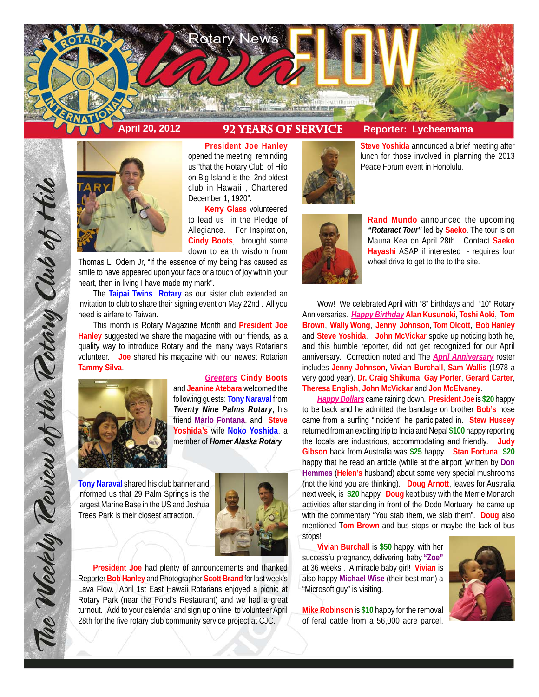

# **April 20, 2012 92 Years of service Reporter: Lycheemama**



**President Joe Hanley** opened the meeting reminding us "that the Rotary Club of Hilo on Big Island is the 2nd oldest club in Hawaii , Chartered December 1, 1920".

**Kerry Glass** volunteered to lead us in the Pledge of Allegiance. For Inspiration, **Cindy Boots**, brought some down to earth wisdom from

Thomas L. Odem Jr, "If the essence of my being has caused as smile to have appeared upon your face or a touch of joy within your heart, then in living I have made my mark".

The **Taipai Twins Rotary** as our sister club extended an invitation to club to share their signing event on May 22nd . All you need is airfare to Taiwan.

This month is Rotary Magazine Month and **President Joe Hanley** suggested we share the magazine with our friends, as a quality way to introduce Rotary and the many ways Rotarians volunteer. **Joe** shared his magazine with our newest Rotarian **Tammy Silva**.



The Weekly Review of the Rotary Club of Hilo

*Greeters* **Cindy Boots** and **Jeanine Atebara** welcomed the following guests: **Tony Naraval** from *Twenty Nine Palms Rotary*, his friend **Marlo Fontana**, and **Steve Yoshida's** wife **Noko Yoshida**, a member of *Homer Alaska Rotary*.

**Tony Naraval** shared his club banner and informed us that 29 Palm Springs is the largest Marine Base in the US and Joshua Trees Park is their closest attraction.



**President Joe** had plenty of announcements and thanked Reporter **Bob Hanley** and Photographer **Scott Brand** for last week's Lava Flow. April 1st East Hawaii Rotarians enjoyed a picnic at Rotary Park (near the Pond's Restaurant) and we had a great turnout. Add to your calendar and sign up online to volunteer April 28th for the five rotary club community service project at CJC.



**Steve Yoshida** announced a brief meeting after lunch for those involved in planning the 2013 Peace Forum event in Honolulu.



**Rand Mundo** announced the upcoming *"Rotaract Tour"* led by **Saeko**. The tour is on Mauna Kea on April 28th. Contact **Saeko** Hayashi ASAP if interested - requires four wheel drive to get to the to the site.

Wow! We celebrated April with "8" birthdays and "10" Rotary Anniversaries. *Happy Birthday* **Alan Kusunoki**, **Toshi Aoki**, **Tom Brown**, **Wally Wong**, **Jenny Johnson**, **Tom Olcott**, **Bob Hanley** and **Steve Yoshida**. **John McVickar** spoke up noticing both he, and this humble reporter, did not get recognized for our April anniversary. Correction noted and The *April Anniversary* roster includes **Jenny Johnson**, **Vivian Burchall**, **Sam Wallis** (1978 a very good year), **Dr. Craig Shikuma**, **Gay Porter**, **Gerard Carter**, **Theresa English**, **John McVickar** and **Jon McElvaney**.

*Happy Dollars* came raining down. **President Joe** is **\$20** happy to be back and he admitted the bandage on brother **Bob's** nose came from a surfing "incident" he participated in. **Stew Hussey** returned from an exciting trip to India and Nepal **\$100** happy reporting the locals are industrious, accommodating and friendly. **Judy Gibson** back from Australia was **\$25** happy. **Stan Fortuna \$20** happy that he read an article (while at the airport )written by **Don Hemmes** (**Helen's** husband) about some very special mushrooms (not the kind you are thinking). **Doug Arnott**, leaves for Australia next week, is **\$20** happy. **Doug** kept busy with the Merrie Monarch activities after standing in front of the Dodo Mortuary, he came up with the commentary "You stab them, we slab them". **Doug** also mentioned T**om Brown** and bus stops or maybe the lack of bus stops!

**Vivian Burchall** is **\$50** happy, with her successful pregnancy, delivering baby **"Zoe"** at 36 weeks . A miracle baby girl! **Vivian** is also happy **Michael Wise** (their best man) a "Microsoft guy" is visiting.

**Mike Robinson** is **\$10** happy for the removal of feral cattle from a 56,000 acre parcel.